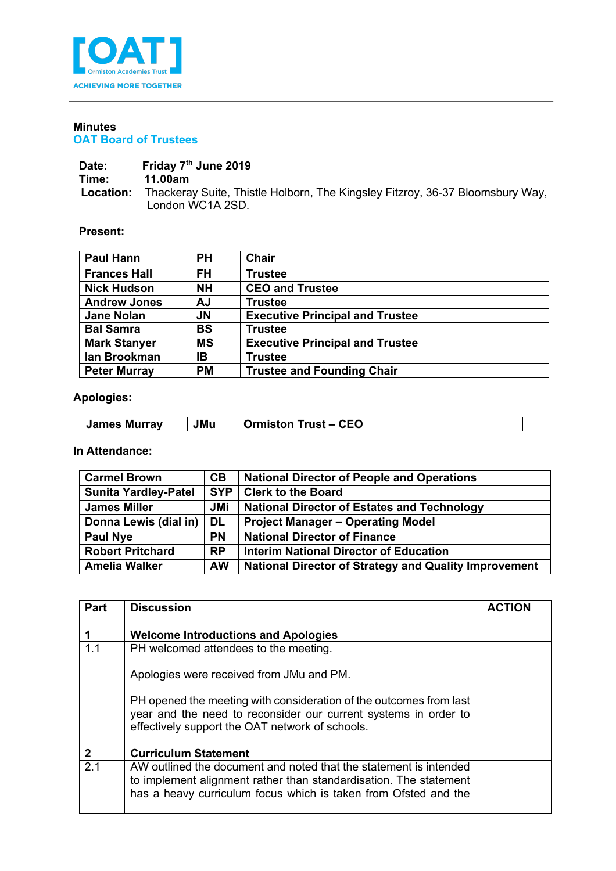

## **Minutes OAT Board of Trustees**

Date: Friday 7<sup>th</sup> June 2019<br>Time: 11.00am **Time: 11.00am Location:** Thackeray Suite, Thistle Holborn, The Kingsley Fitzroy, 36-37 Bloomsbury Way, London WC1A 2SD.

## **Present:**

| <b>Paul Hann</b>    | <b>PH</b> | <b>Chair</b>                           |
|---------------------|-----------|----------------------------------------|
| <b>Frances Hall</b> | FH        | <b>Trustee</b>                         |
| <b>Nick Hudson</b>  | <b>NH</b> | <b>CEO and Trustee</b>                 |
| <b>Andrew Jones</b> | AJ        | <b>Trustee</b>                         |
| <b>Jane Nolan</b>   | <b>JN</b> | <b>Executive Principal and Trustee</b> |
| <b>Bal Samra</b>    | BS        | <b>Trustee</b>                         |
| <b>Mark Stanyer</b> | <b>MS</b> | <b>Executive Principal and Trustee</b> |
| lan Brookman        | IB        | <b>Trustee</b>                         |
| <b>Peter Murray</b> | <b>PM</b> | <b>Trustee and Founding Chair</b>      |

## **Apologies:**

| James Murrav | JMu | <b>CEO</b><br>⊺rust<br>Ormiston |
|--------------|-----|---------------------------------|

**In Attendance:**

| <b>Carmel Brown</b>         | CВ         | <b>National Director of People and Operations</b>            |
|-----------------------------|------------|--------------------------------------------------------------|
| <b>Sunita Yardley-Patel</b> | <b>SYP</b> | <b>Clerk to the Board</b>                                    |
| <b>James Miller</b>         | <b>JMi</b> | <b>National Director of Estates and Technology</b>           |
| Donna Lewis (dial in)       | DL.        | <b>Project Manager - Operating Model</b>                     |
| <b>Paul Nye</b>             | <b>PN</b>  | <b>National Director of Finance</b>                          |
| <b>Robert Pritchard</b>     | <b>RP</b>  | <b>Interim National Director of Education</b>                |
| <b>Amelia Walker</b>        | <b>AW</b>  | <b>National Director of Strategy and Quality Improvement</b> |

| <b>Part</b>  | <b>Discussion</b>                                                                                                                                                                                         | ACTION |
|--------------|-----------------------------------------------------------------------------------------------------------------------------------------------------------------------------------------------------------|--------|
|              |                                                                                                                                                                                                           |        |
|              | <b>Welcome Introductions and Apologies</b>                                                                                                                                                                |        |
| 1.1          | PH welcomed attendees to the meeting.                                                                                                                                                                     |        |
|              | Apologies were received from JMu and PM.                                                                                                                                                                  |        |
|              | PH opened the meeting with consideration of the outcomes from last<br>year and the need to reconsider our current systems in order to<br>effectively support the OAT network of schools.                  |        |
| $\mathbf{2}$ | <b>Curriculum Statement</b>                                                                                                                                                                               |        |
| 2.1          | AW outlined the document and noted that the statement is intended<br>to implement alignment rather than standardisation. The statement<br>has a heavy curriculum focus which is taken from Ofsted and the |        |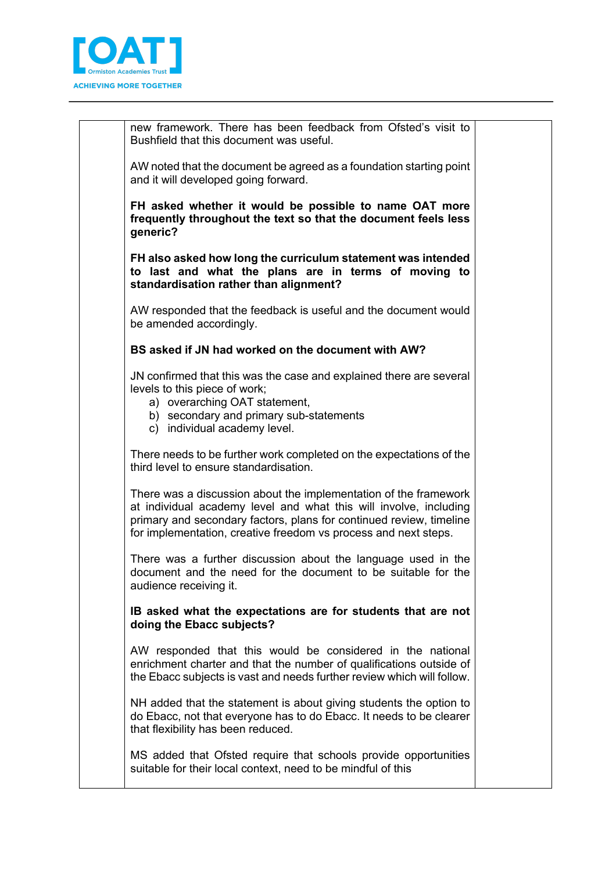

new framework. There has been feedback from Ofsted's visit to Bushfield that this document was useful.

AW noted that the document be agreed as a foundation starting point and it will developed going forward.

**FH asked whether it would be possible to name OAT more frequently throughout the text so that the document feels less generic?**

**FH also asked how long the curriculum statement was intended to last and what the plans are in terms of moving to standardisation rather than alignment?**

AW responded that the feedback is useful and the document would be amended accordingly.

## **BS asked if JN had worked on the document with AW?**

JN confirmed that this was the case and explained there are several levels to this piece of work;

- a) overarching OAT statement,
- b) secondary and primary sub-statements
- c) individual academy level.

There needs to be further work completed on the expectations of the third level to ensure standardisation.

There was a discussion about the implementation of the framework at individual academy level and what this will involve, including primary and secondary factors, plans for continued review, timeline for implementation, creative freedom vs process and next steps.

There was a further discussion about the language used in the document and the need for the document to be suitable for the audience receiving it.

**IB asked what the expectations are for students that are not doing the Ebacc subjects?** 

AW responded that this would be considered in the national enrichment charter and that the number of qualifications outside of the Ebacc subjects is vast and needs further review which will follow.

NH added that the statement is about giving students the option to do Ebacc, not that everyone has to do Ebacc. It needs to be clearer that flexibility has been reduced.

MS added that Ofsted require that schools provide opportunities suitable for their local context, need to be mindful of this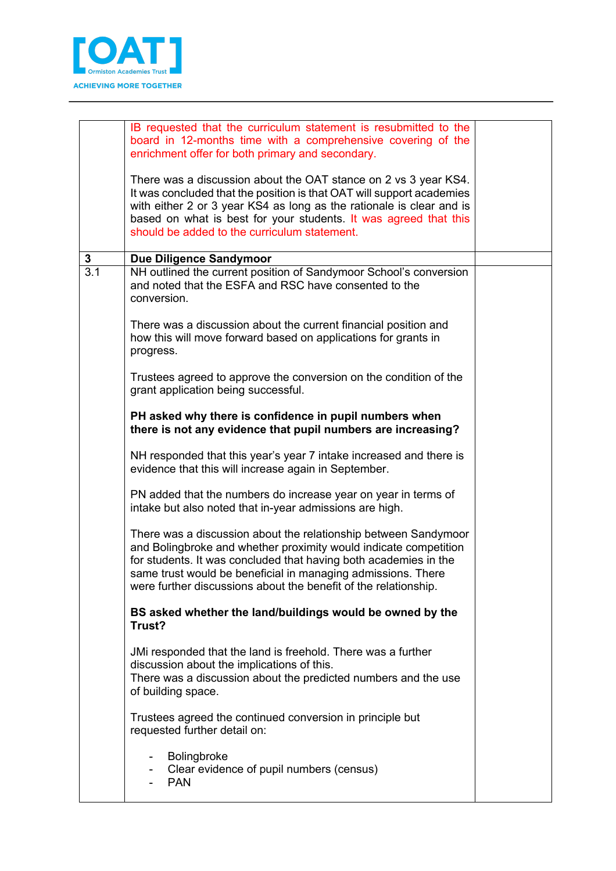

|              | IB requested that the curriculum statement is resubmitted to the<br>board in 12-months time with a comprehensive covering of the<br>enrichment offer for both primary and secondary.<br>There was a discussion about the OAT stance on 2 vs 3 year KS4.                                                                                    |  |  |  |  |
|--------------|--------------------------------------------------------------------------------------------------------------------------------------------------------------------------------------------------------------------------------------------------------------------------------------------------------------------------------------------|--|--|--|--|
|              | It was concluded that the position is that OAT will support academies<br>with either 2 or 3 year KS4 as long as the rationale is clear and is<br>based on what is best for your students. It was agreed that this<br>should be added to the curriculum statement.                                                                          |  |  |  |  |
| $\mathbf{3}$ | <b>Due Diligence Sandymoor</b>                                                                                                                                                                                                                                                                                                             |  |  |  |  |
| 3.1          | NH outlined the current position of Sandymoor School's conversion<br>and noted that the ESFA and RSC have consented to the<br>conversion.                                                                                                                                                                                                  |  |  |  |  |
|              | There was a discussion about the current financial position and<br>how this will move forward based on applications for grants in<br>progress.                                                                                                                                                                                             |  |  |  |  |
|              | Trustees agreed to approve the conversion on the condition of the<br>grant application being successful.                                                                                                                                                                                                                                   |  |  |  |  |
|              | PH asked why there is confidence in pupil numbers when<br>there is not any evidence that pupil numbers are increasing?                                                                                                                                                                                                                     |  |  |  |  |
|              | NH responded that this year's year 7 intake increased and there is<br>evidence that this will increase again in September.                                                                                                                                                                                                                 |  |  |  |  |
|              | PN added that the numbers do increase year on year in terms of<br>intake but also noted that in-year admissions are high.                                                                                                                                                                                                                  |  |  |  |  |
|              | There was a discussion about the relationship between Sandymoor<br>and Bolingbroke and whether proximity would indicate competition<br>for students. It was concluded that having both academies in the<br>same trust would be beneficial in managing admissions. There<br>were further discussions about the benefit of the relationship. |  |  |  |  |
|              | BS asked whether the land/buildings would be owned by the<br>Trust?                                                                                                                                                                                                                                                                        |  |  |  |  |
|              | JMi responded that the land is freehold. There was a further<br>discussion about the implications of this.<br>There was a discussion about the predicted numbers and the use<br>of building space.                                                                                                                                         |  |  |  |  |
|              | Trustees agreed the continued conversion in principle but<br>requested further detail on:                                                                                                                                                                                                                                                  |  |  |  |  |
|              | Bolingbroke<br>Clear evidence of pupil numbers (census)<br><b>PAN</b>                                                                                                                                                                                                                                                                      |  |  |  |  |